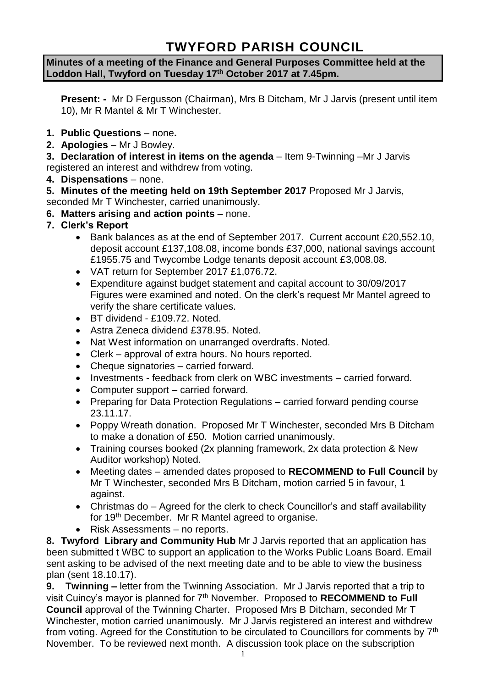# **TWYFORD PARISH COUNCIL**

#### **Minutes of a meeting of the Finance and General Purposes Committee held at the Loddon Hall, Twyford on Tuesday 17th October 2017 at 7.45pm.**

**Present: -** Mr D Fergusson (Chairman), Mrs B Ditcham, Mr J Jarvis (present until item 10), Mr R Mantel & Mr T Winchester.

- **1. Public Questions** none**.**
- **2. Apologies** Mr J Bowley.

**3. Declaration of interest in items on the agenda** – Item 9-Twinning –Mr J Jarvis registered an interest and withdrew from voting.

**4. Dispensations** – none.

**5. Minutes of the meeting held on 19th September 2017** Proposed Mr J Jarvis, seconded Mr T Winchester, carried unanimously.

- **6. Matters arising and action points** none.
- **7. Clerk's Report**
	- Bank balances as at the end of September 2017. Current account £20,552.10, deposit account £137,108.08, income bonds £37,000, national savings account £1955.75 and Twycombe Lodge tenants deposit account £3,008.08.
	- VAT return for September 2017 £1,076.72.
	- Expenditure against budget statement and capital account to 30/09/2017 Figures were examined and noted. On the clerk's request Mr Mantel agreed to verify the share certificate values.
	- BT dividend £109.72. Noted.
	- Astra Zeneca dividend £378.95. Noted.
	- Nat West information on unarranged overdrafts. Noted.
	- Clerk approval of extra hours. No hours reported.
	- Cheque signatories carried forward.
	- Investments feedback from clerk on WBC investments carried forward.
	- Computer support carried forward.
	- Preparing for Data Protection Regulations carried forward pending course 23.11.17.
	- Poppy Wreath donation. Proposed Mr T Winchester, seconded Mrs B Ditcham to make a donation of £50. Motion carried unanimously.
	- Training courses booked (2x planning framework, 2x data protection & New Auditor workshop) Noted.
	- Meeting dates amended dates proposed to **RECOMMEND to Full Council** by Mr T Winchester, seconded Mrs B Ditcham, motion carried 5 in favour, 1 against.
	- Christmas do Agreed for the clerk to check Councillor's and staff availability for 19th December. Mr R Mantel agreed to organise.
	- Risk Assessments no reports.

**8. Twyford Library and Community Hub** Mr J Jarvis reported that an application has been submitted t WBC to support an application to the Works Public Loans Board. Email sent asking to be advised of the next meeting date and to be able to view the business plan (sent 18.10.17).

**9. Twinning –** letter from the Twinning Association. Mr J Jarvis reported that a trip to visit Cuincy's mayor is planned for 7th November. Proposed to **RECOMMEND to Full Council** approval of the Twinning Charter. Proposed Mrs B Ditcham, seconded Mr T Winchester, motion carried unanimously. Mr J Jarvis registered an interest and withdrew from voting. Agreed for the Constitution to be circulated to Councillors for comments by 7<sup>th</sup> November. To be reviewed next month. A discussion took place on the subscription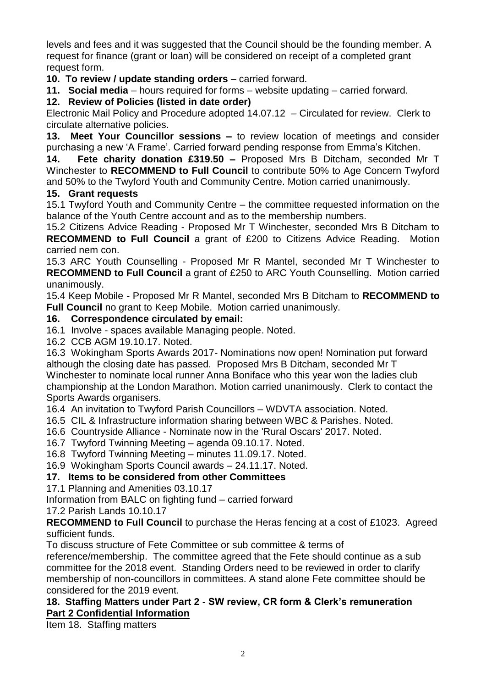levels and fees and it was suggested that the Council should be the founding member. A request for finance (grant or loan) will be considered on receipt of a completed grant request form.

**10. To review / update standing orders** – carried forward.

**11. Social media** – hours required for forms – website updating – carried forward.

# **12. Review of Policies (listed in date order)**

Electronic Mail Policy and Procedure adopted 14.07.12 – Circulated for review. Clerk to circulate alternative policies.

**13. Meet Your Councillor sessions –** to review location of meetings and consider purchasing a new 'A Frame'. Carried forward pending response from Emma's Kitchen.

**14. Fete charity donation £319.50 –** Proposed Mrs B Ditcham, seconded Mr T Winchester to **RECOMMEND to Full Council** to contribute 50% to Age Concern Twyford and 50% to the Twyford Youth and Community Centre. Motion carried unanimously.

### **15. Grant requests**

15.1 Twyford Youth and Community Centre – the committee requested information on the balance of the Youth Centre account and as to the membership numbers.

15.2 Citizens Advice Reading - Proposed Mr T Winchester, seconded Mrs B Ditcham to **RECOMMEND to Full Council** a grant of £200 to Citizens Advice Reading. Motion carried nem con.

15.3 ARC Youth Counselling - Proposed Mr R Mantel, seconded Mr T Winchester to **RECOMMEND to Full Council** a grant of £250 to ARC Youth Counselling. Motion carried unanimously.

15.4 Keep Mobile - Proposed Mr R Mantel, seconded Mrs B Ditcham to **RECOMMEND to Full Council** no grant to Keep Mobile. Motion carried unanimously.

### **16. Correspondence circulated by email:**

16.1 Involve - spaces available Managing people. Noted.

16.2 CCB AGM 19.10.17. Noted.

16.3 Wokingham Sports Awards 2017- Nominations now open! Nomination put forward although the closing date has passed. Proposed Mrs B Ditcham, seconded Mr T Winchester to nominate local runner Anna Boniface who this year won the ladies club championship at the London Marathon. Motion carried unanimously. Clerk to contact the Sports Awards organisers.

16.4 An invitation to Twyford Parish Councillors – WDVTA association. Noted.

- 16.5 CIL & Infrastructure information sharing between WBC & Parishes. Noted.
- 16.6 Countryside Alliance Nominate now in the 'Rural Oscars' 2017. Noted.
- 16.7 Twyford Twinning Meeting agenda 09.10.17. Noted.
- 16.8 Twyford Twinning Meeting minutes 11.09.17. Noted.

16.9 Wokingham Sports Council awards – 24.11.17. Noted.

## **17. Items to be considered from other Committees**

17.1 Planning and Amenities 03.10.17

Information from BALC on fighting fund – carried forward

17.2 Parish Lands 10.10.17

**RECOMMEND to Full Council** to purchase the Heras fencing at a cost of £1023. Agreed sufficient funds.

To discuss structure of Fete Committee or sub committee & terms of

reference/membership. The committee agreed that the Fete should continue as a sub committee for the 2018 event. Standing Orders need to be reviewed in order to clarify membership of non-councillors in committees. A stand alone Fete committee should be considered for the 2019 event.

#### **18. Staffing Matters under Part 2 - SW review, CR form & Clerk's remuneration Part 2 Confidential Information**

Item 18. Staffing matters